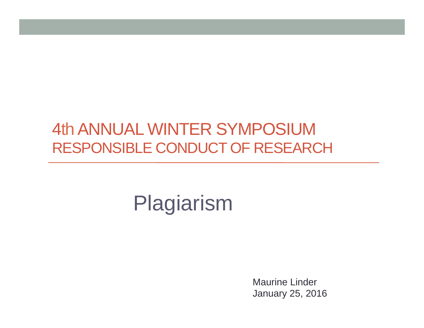### 4th ANNUAL WINTER SYMPOSIUM RESPONSIBLE CONDUCT OF RESEARCH

# Plagiarism

Maurine Linder January 25, 2016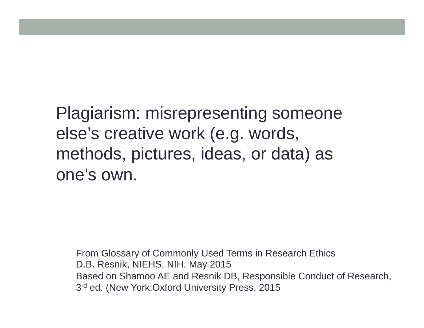Plagiarism: misrepresenting someone else's creative work (e.g. words, methods, pictures, ideas, or data) as one's own.

From Glossary of Commonly Used Terms in Research Ethics D.B. Resnik, NIEHS, NIH, May 2015 Based on Shamoo AE and Resnik DB, Responsible Conduct of Research, 3<sup>rd</sup> ed. (New York: Oxford University Press, 2015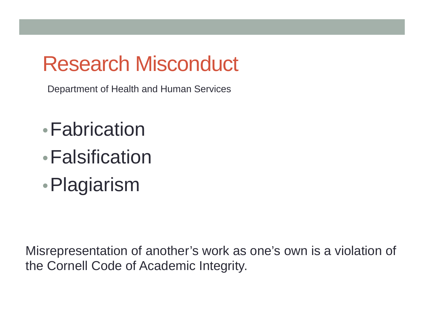## Research Misconduct

Department of Health and Human Services

- •Fabrication
- •Falsification
- •Plagiarism

Misrepresentation of another's work as one's own is a violation of the Cornell Code of Academic Integrity.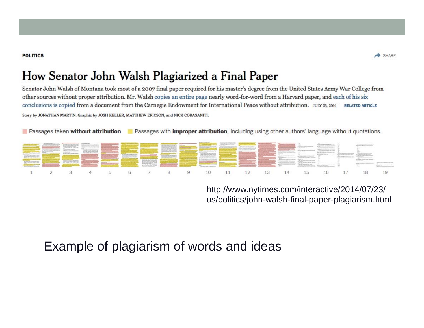#### **POLITICS**



#### How Senator John Walsh Plagiarized a Final Paper

Senator John Walsh of Montana took most of a 2007 final paper required for his master's degree from the United States Army War College from other sources without proper attribution. Mr. Walsh copies an entire page nearly word-for-word from a Harvard paper, and each of his six conclusions is copied from a document from the Carnegie Endowment for International Peace without attribution. JULY 23, 2014 | RELATED ARTICLE Story by JONATHAN MARTIN. Graphic by JOSH KELLER, MATTHEW ERICSON, and NICK CORASANITI.

Passages taken without attribution Passages with improper attribution, including using other authors' language without quotations.

|  |  | <b>The Committee of the Committee of the Committee of the Committee of the Committee of the Committee of the Committee of the Committee of the Committee of the Committee of the Committee of the Committee of the Committee of </b> |  |  | <b>TAXABLE PARADONE PROGRAM</b> |  | <b>Constitution of the Constitution of the Constitution of the Constitution of the Constitution of the Constitution</b> | Laurent and the contract of the contract of the contract of the contract of the contract of the contract of the |  |  |
|--|--|--------------------------------------------------------------------------------------------------------------------------------------------------------------------------------------------------------------------------------------|--|--|---------------------------------|--|-------------------------------------------------------------------------------------------------------------------------|-----------------------------------------------------------------------------------------------------------------|--|--|
|  |  |                                                                                                                                                                                                                                      |  |  |                                 |  |                                                                                                                         | 3 4 5 6 7 8 9 10 11 12 13 14 15 16 17                                                                           |  |  |

http://www.nytimes.com/interactive/2014/07/23/ us/politics/john-walsh-final-paper-plagiarism.html

#### Example of plagiarism of words and ideas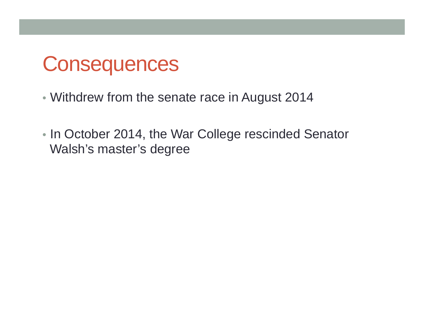### **Consequences**

- Withdrew from the senate race in August 2014
- In October 2014, the War College rescinded Senator Walsh's master's degree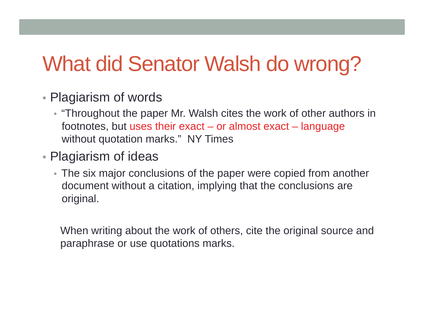## What did Senator Walsh do wrong?

- Plagiarism of words
	- "Throughout the paper Mr. Walsh cites the work of other authors in footnotes, but uses their exact – or almost exact – language without quotation marks." NY Times
- Plagiarism of ideas
	- The six major conclusions of the paper were copied from another document without a citation, implying that the conclusions are original.

When writing about the work of others, cite the original source and paraphrase or use quotations marks.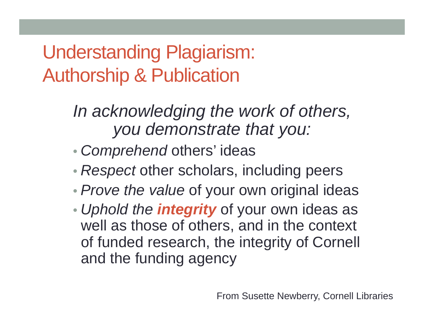Understanding Plagiarism: Authorship & Publication

> *In acknowledging the work of others, you demonstrate that you:*

- •*Comprehend* others' ideas
- *Respect* other scholars, including peers
- •*Prove the value* of your own original ideas
- • *Uphold the integrity* of your own ideas as well as those of others, and in the context of funded research, the integrity of Cornell and the funding agency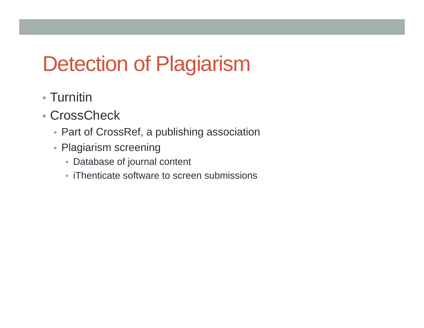# Detection of Plagiarism

- Turnitin
- CrossCheck
	- Part of CrossRef, a publishing association
	- Plagiarism screening
		- Database of journal content
		- iThenticate software to screen submissions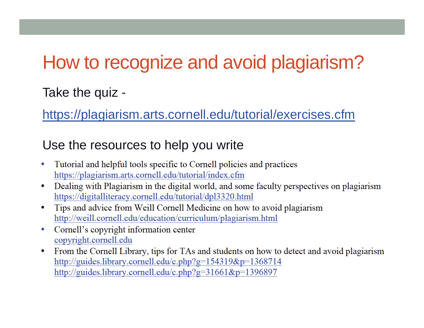### How to recognize and avoid plagiarism?

#### Take the quiz -

https://plagiarism.arts.cornell.edu/tutorial/exercises.cfm

#### Use the resources to help you write

- Tutorial and helpful tools specific to Cornell policies and practices  $\bullet$ https://plagiarism.arts.cornell.edu/tutorial/index.cfm
- Dealing with Plagiarism in the digital world, and some faculty perspectives on plagiarism  $\bullet$ https://digitalliteracy.cornell.edu/tutorial/dpl3320.html
- Tips and advice from Weill Cornell Medicine on how to avoid plagiarism ۰ http://weill.cornell.edu/education/curriculum/plagiarism.html
- Cornell's copyright information center  $\bullet$ copyright.cornell.edu
- From the Cornell Library, tips for TAs and students on how to detect and avoid plagiarism  $\bullet$ http://guides.library.cornell.edu/c.php?g=154319&p=1368714 http://guides.library.cornell.edu/c.php?g=31661&p=1396897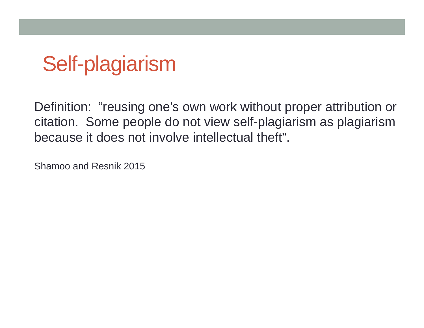# Self-plagiarism

Definition: "reusing one's own work without proper attribution or citation. Some people do not view self-plagiarism as plagiarism because it does not involve intellectual theft".

Shamoo and Resnik 2015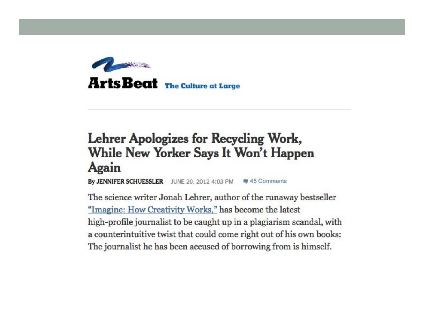

### Lehrer Apologizes for Recycling Work, While New Yorker Says It Won't Happen Again

By JENNIFER SCHUESSLER JUNE 20, 2012 4:03 PM 45 Comments

The science writer Jonah Lehrer, author of the runaway bestseller "Imagine: How Creativity Works," has become the latest high-profile journalist to be caught up in a plagiarism scandal, with a counterintuitive twist that could come right out of his own books: The journalist he has been accused of borrowing from is himself.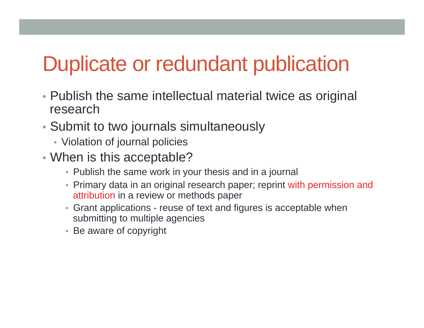## Duplicate or redundant publication

- Publish the same intellectual material twice as original research
- Submit to two journals simultaneously
	- Violation of journal policies
- When is this acceptable?
	- Publish the same work in your thesis and in a journal
	- Primary data in an original research paper; reprint with permission and attribution in a review or methods paper
	- Grant applications reuse of text and figures is acceptable when submitting to multiple agencies
	- Be aware of copyright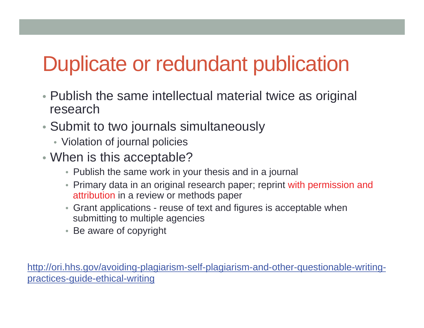# Duplicate or redundant publication

- Publish the same intellectual material twice as original research
- Submit to two journals simultaneously
	- Violation of journal policies
- When is this acceptable?
	- Publish the same work in your thesis and in a journal
	- Primary data in an original research paper; reprint with permission and attribution in a review or methods paper
	- Grant applications reuse of text and figures is acceptable when submitting to multiple agencies
	- Be aware of copyright

http://ori.hhs.gov/avoiding-plagiarism-self-plagiarism-and-other-questionable-writingpractices-guide-ethical-writing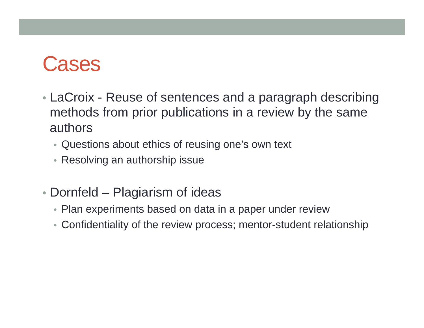### **Cases**

- LaCroix Reuse of sentences and a paragraph describing methods from prior publications in a review by the same authors
	- Questions about ethics of reusing one's own text
	- Resolving an authorship issue
- Dornfeld Plagiarism of ideas
	- Plan experiments based on data in a paper under review
	- Confidentiality of the review process; mentor-student relationship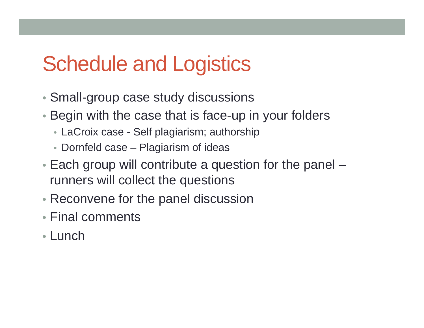### Schedule and Logistics

- Small-group case study discussions
- Begin with the case that is face-up in your folders
	- LaCroix case Self plagiarism; authorship
	- Dornfeld case Plagiarism of ideas
- Each group will contribute a question for the panel runners will collect the questions
- Reconvene for the panel discussion
- Final comments
- Lunch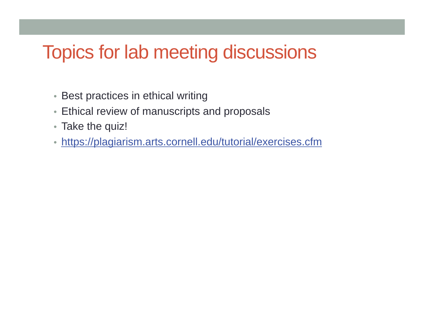### Topics for lab meeting discussions

- Best practices in ethical writing
- Ethical review of manuscripts and proposals
- Take the quiz!
- https://plagiarism.arts.cornell.edu/tutorial/exercises.cfm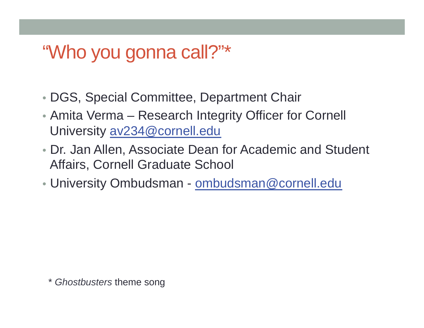### "Who you gonna call?"\*

- DGS, Special Committee, Department Chair
- Amita Verma Research Integrity Officer for Cornell University av234@cornell.edu
- Dr. Jan Allen, Associate Dean for Academic and Student Affairs, Cornell Graduate School
- University Ombudsman ombudsman@cornell.edu

\* *Ghostbusters* theme song